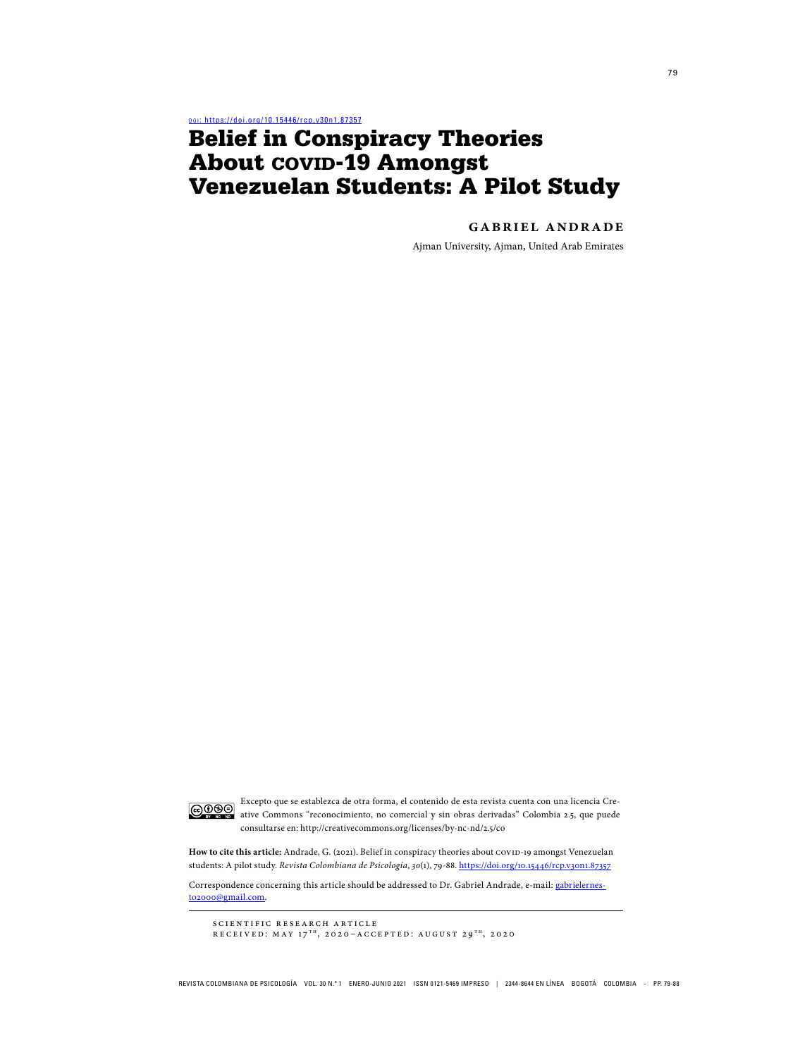por: https://doi.org/10.15446/rcp.v30n1.87357

# Belief in Conspiracy Theories About COVID-19 Amongst Venezuelan Students: A Pilot Study

**gabriel andrade**

Ajman University, Ajman, United Arab Emirates



Excepto que se establezca de otra forma, el contenido de esta revista cuenta con una licencia Cre-<br>ative Commons "reconocimiento" ative Commons "reconocimiento, no comercial y sin obras derivadas" Colombia 2.5, que puede consultarse en: http://creativecommons.org/licenses/by-nc-nd/2.5/co

How to cite this article: Andrade, G. (2021). Belief in conspiracy theories about COVID-19 amongst Venezuelan students: A pilot study. Revista Colombiana de Psicología, 30(1), 79-88. https://doi.org/10.15446/rcp.v30n1.87357

Correspondence concerning this article should be addressed to Dr. Gabriel Andrade, e-mail: gabrielernesto2000@gmail.com.

scientific research article

RECEIVED: MAY  $17<sup>TH</sup>$ , 2020–ACCEPTED: AUGUST 29<sup>TH</sup>, 2020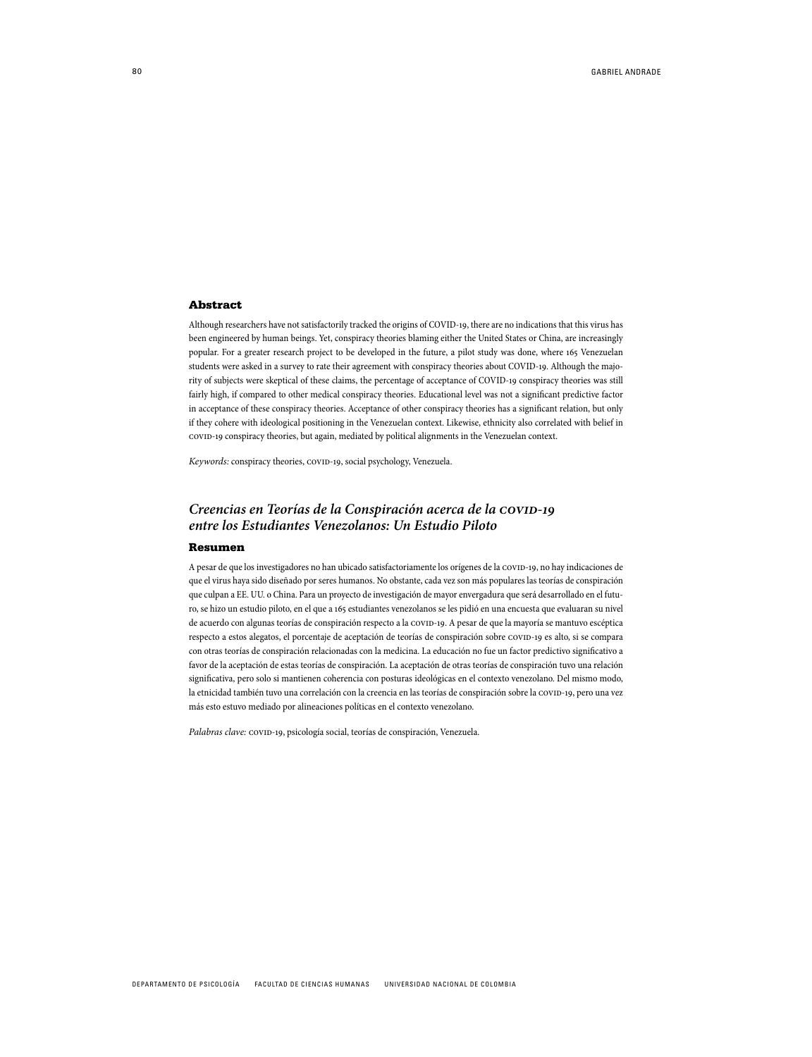#### **Abstract**

Although researchers have not satisfactorily tracked the origins of COVID-19, there are no indications that this virus has been engineered by human beings. Yet, conspiracy theories blaming either the United States or China, are increasingly popular. For a greater research project to be developed in the future, a pilot study was done, where 165 Venezuelan students were asked in a survey to rate their agreement with conspiracy theories about COVID-19. Although the majority of subjects were skeptical of these claims, the percentage of acceptance of COVID-19 conspiracy theories was still fairly high, if compared to other medical conspiracy theories. Educational level was not a significant predictive factor in acceptance of these conspiracy theories. Acceptance of other conspiracy theories has a significant relation, but only if they cohere with ideological positioning in the Venezuelan context. Likewise, ethnicity also correlated with belief in covid-19 conspiracy theories, but again, mediated by political alignments in the Venezuelan context.

Keywords: conspiracy theories, COVID-19, social psychology, Venezuela.

# Creencias en Teorías de la Conspiración acerca de la COVID-19 **entre los Estudiantes Venezolanos: Un Estudio Piloto**

#### Resumen

A pesar de que los investigadores no han ubicado satisfactoriamente los orígenes de la covID-19, no hay indicaciones de que el virus haya sido diseñado por seres humanos. No obstante, cada vez son más populares las teorías de conspiración que culpan a EE. UU. o China. Para un proyecto de investigación de mayor envergadura que será desarrollado en el futuro, se hizo un estudio piloto, en el que a 165 estudiantes venezolanos se les pidió en una encuesta que evaluaran su nivel de acuerdo con algunas teorías de conspiración respecto a la covid-19. A pesar de que la mayoría se mantuvo escéptica respecto a estos alegatos, el porcentaje de aceptación de teorías de conspiración sobre covin-19 es alto, si se compara con otras teorías de conspiración relacionadas con la medicina. La educación no fue un factor predictivo significativo a favor de la aceptación de estas teorías de conspiración. La aceptación de otras teorías de conspiración tuvo una relación significativa, pero solo si mantienen coherencia con posturas ideológicas en el contexto venezolano. Del mismo modo, la etnicidad también tuvo una correlación con la creencia en las teorías de conspiración sobre la covin-19, pero una vez más esto estuvo mediado por alineaciones políticas en el contexto venezolano.

Palabras clave: COVID-19, psicología social, teorías de conspiración, Venezuela.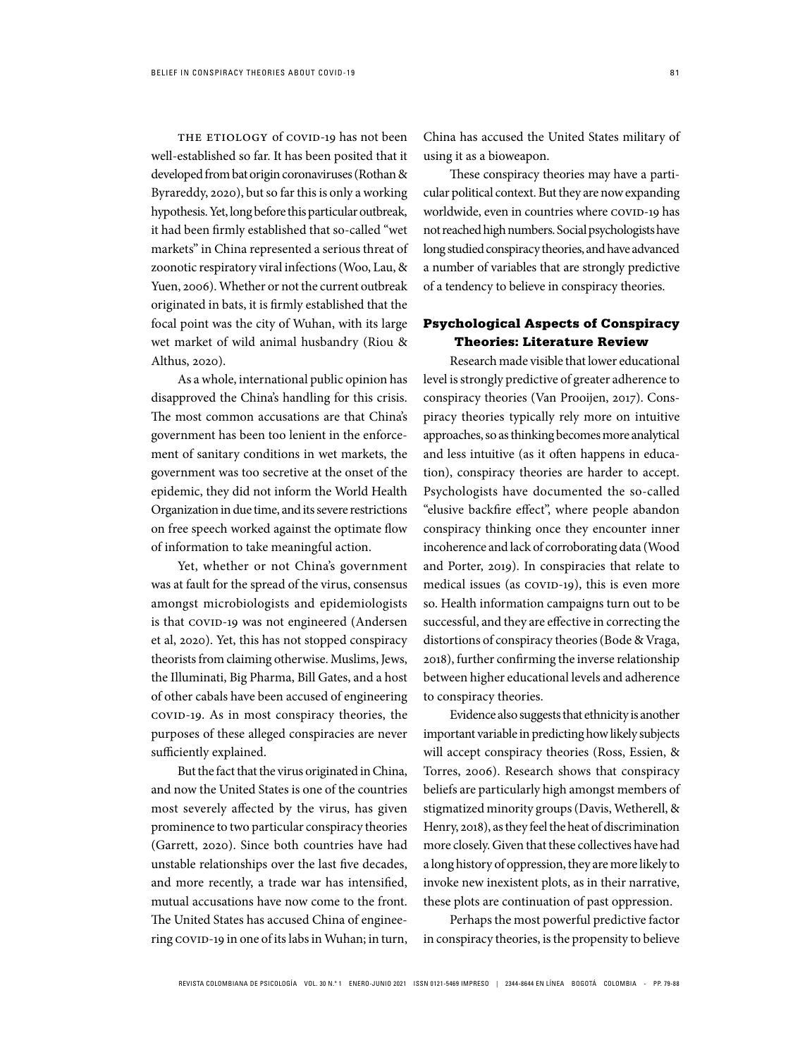THE ETIOLOGY of COVID-19 has not been well-established so far. It has been posited that it developed from bat origin coronaviruses (Rothan & Byrareddy, 2020), but so far this is only a working hypothesis. Yet, long before this particular outbreak, it had been firmly established that so-called "wet markets" in China represented a serious threat of zoonotic respiratory viral infections (Woo, Lau, & Yuen, 2006). Whether or not the current outbreak originated in bats, it is firmly established that the focal point was the city of Wuhan, with its large wet market of wild animal husbandry (Riou & Althus, 2020).

As a whole, international public opinion has disapproved the China's handling for this crisis. The most common accusations are that China's government has been too lenient in the enforcement of sanitary conditions in wet markets, the government was too secretive at the onset of the epidemic, they did not inform the World Health Organization in due time, and its severe restrictions on free speech worked against the optimate flow of information to take meaningful action.

Yet, whether or not China's government was at fault for the spread of the virus, consensus amongst microbiologists and epidemiologists is that COVID-19 was not engineered (Andersen et al, 2020). Yet, this has not stopped conspiracy theorists from claiming otherwise. Muslims, Jews, the Illuminati, Big Pharma, Bill Gates, and a host of other cabals have been accused of engineering covid-19. As in most conspiracy theories, the purposes of these alleged conspiracies are never sufficiently explained.

But the fact that the virus originated in China, and now the United States is one of the countries most severely affected by the virus, has given prominence to two particular conspiracy theories (Garrett, 2020). Since both countries have had unstable relationships over the last five decades, and more recently, a trade war has intensified, mutual accusations have now come to the front. The United States has accused China of engineering COVID-19 in one of its labs in Wuhan; in turn, China has accused the United States military of using it as a bioweapon.

These conspiracy theories may have a particular political context. But they are now expanding worldwide, even in countries where COVID-19 has not reached high numbers. Social psychologists have long studied conspiracy theories, and have advanced a number of variables that are strongly predictive of a tendency to believe in conspiracy theories.

# Psychological Aspects of Conspiracy Theories: Literature Review

Research made visible that lower educational level is strongly predictive of greater adherence to conspiracy theories (Van Prooijen, 2017). Conspiracy theories typically rely more on intuitive approaches, so as thinking becomes more analytical and less intuitive (as it often happens in education), conspiracy theories are harder to accept. Psychologists have documented the so-called "elusive backfire effect", where people abandon conspiracy thinking once they encounter inner incoherence and lack of corroborating data (Wood and Porter, 2019). In conspiracies that relate to medical issues (as COVID-19), this is even more so. Health information campaigns turn out to be successful, and they are effective in correcting the distortions of conspiracy theories (Bode & Vraga, 2018), further confirming the inverse relationship between higher educational levels and adherence to conspiracy theories.

Evidence also suggests that ethnicity is another important variable in predicting how likely subjects will accept conspiracy theories (Ross, Essien, & Torres, 2006). Research shows that conspiracy beliefs are particularly high amongst members of stigmatized minority groups (Davis, Wetherell, & Henry, 2018), as they feel the heat of discrimination more closely. Given that these collectives have had a long history of oppression, they are more likely to invoke new inexistent plots, as in their narrative, these plots are continuation of past oppression.

Perhaps the most powerful predictive factor in conspiracy theories, is the propensity to believe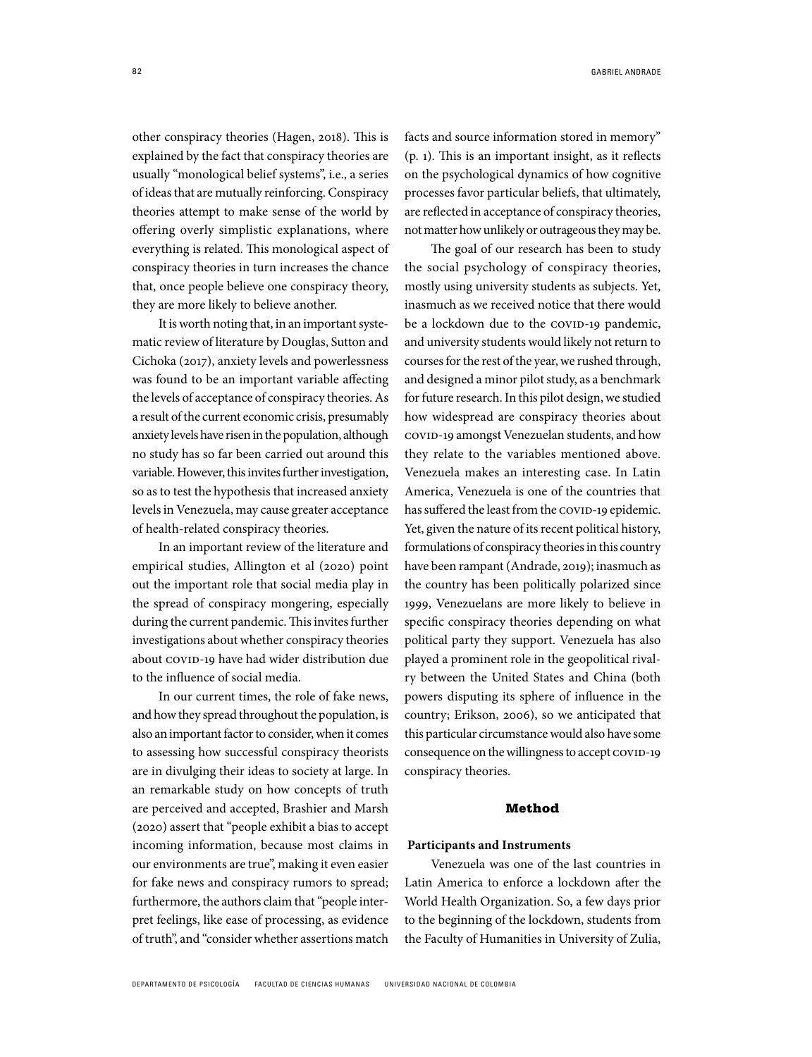other conspiracy theories (Hagen, 2018). This is explained by the fact that conspiracy theories are usually "monological belief systems", i.e., a series of ideas that are mutually reinforcing. Conspiracy theories attempt to make sense of the world by offering overly simplistic explanations, where everything is related. This monological aspect of conspiracy theories in turn increases the chance that, once people believe one conspiracy theory, they are more likely to believe another.

It is worth noting that, in an important systematic review of literature by Douglas, Sutton and Cichoka (2017), anxiety levels and powerlessness was found to be an important variable affecting the levels of acceptance of conspiracy theories. As a result of the current economic crisis, presumably anxiety levels have risen in the population, although no study has so far been carried out around this variable. However, this invites further investigation, so as to test the hypothesis that increased anxiety levels in Venezuela, may cause greater acceptance of health-related conspiracy theories.

In an important review of the literature and empirical studies, Allington et al (2020) point out the important role that social media play in the spread of conspiracy mongering, especially during the current pandemic. This invites further investigations about whether conspiracy theories about COVID-19 have had wider distribution due to the influence of social media.

In our current times, the role of fake news, and how they spread throughout the population, is also an important factor to consider, when it comes to assessing how successful conspiracy theorists are in divulging their ideas to society at large. In an remarkable study on how concepts of truth are perceived and accepted, Brashier and Marsh (2020) assert that "people exhibit a bias to accept incoming information, because most claims in our environments are true", making it even easier for fake news and conspiracy rumors to spread; furthermore, the authors claim that "people interpret feelings, like ease of processing, as evidence of truth", and "consider whether assertions match facts and source information stored in memory" (p. 1). This is an important insight, as it reflects on the psychological dynamics of how cognitive processes favor particular beliefs, that ultimately, are reflected in acceptance of conspiracy theories, not matter how unlikely or outrageous they may be.

The goal of our research has been to study the social psychology of conspiracy theories, mostly using university students as subjects. Yet, inasmuch as we received notice that there would be a lockdown due to the COVID-19 pandemic, and university students would likely not return to courses for the rest of the year, we rushed through, and designed a minor pilot study, as a benchmark for future research. In this pilot design, we studied how widespread are conspiracy theories about covid-19 amongst Venezuelan students, and how they relate to the variables mentioned above. Venezuela makes an interesting case. In Latin America, Venezuela is one of the countries that has suffered the least from the COVID-19 epidemic. Yet, given the nature of its recent political history, formulations of conspiracy theories in this country have been rampant (Andrade, 2019); inasmuch as the country has been politically polarized since 1999, Venezuelans are more likely to believe in specific conspiracy theories depending on what political party they support. Venezuela has also played a prominent role in the geopolitical rivalry between the United States and China (both powers disputing its sphere of influence in the country; Erikson, 2006), so we anticipated that this particular circumstance would also have some consequence on the willingness to accept COVID-19 conspiracy theories.

#### Method

#### **Participants and Instruments**

Venezuela was one of the last countries in Latin America to enforce a lockdown after the World Health Organization. So, a few days prior to the beginning of the lockdown, students from the Faculty of Humanities in University of Zulia,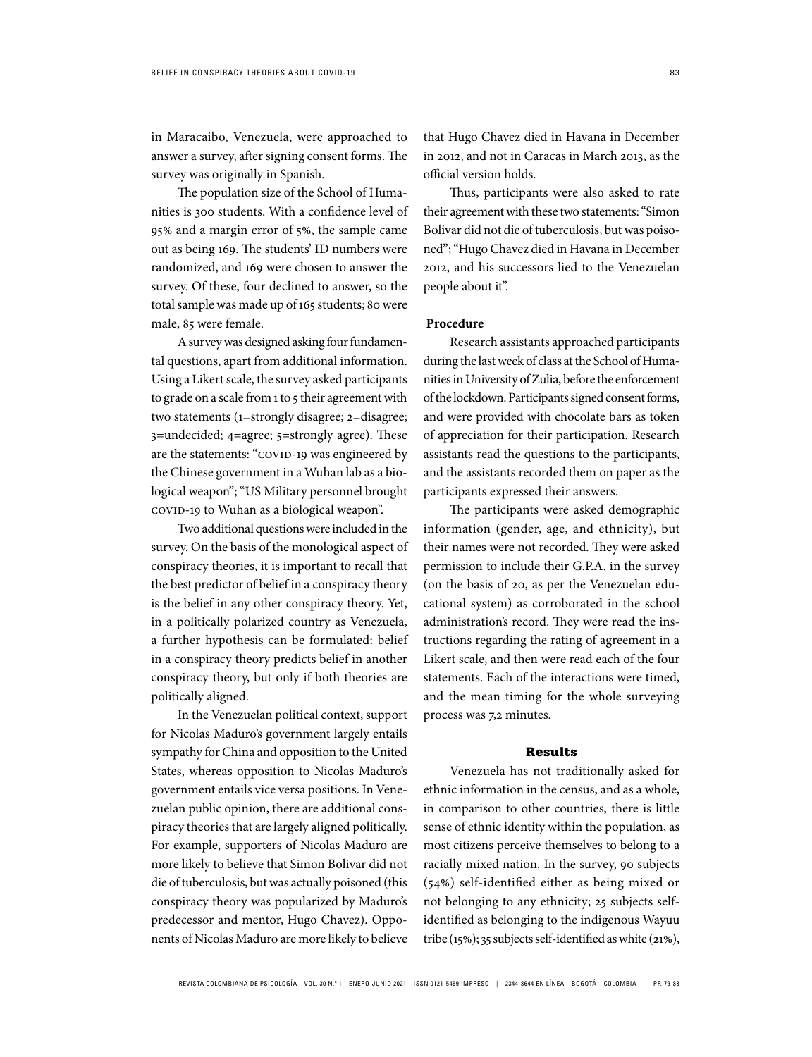in Maracaibo, Venezuela, were approached to answer a survey, after signing consent forms. The survey was originally in Spanish.

The population size of the School of Humanities is 300 students. With a confidence level of 95% and a margin error of 5%, the sample came out as being 169. The students' ID numbers were randomized, and 169 were chosen to answer the survey. Of these, four declined to answer, so the total sample was made up of 165 students; 80 were male, 85 were female.

A survey was designed asking four fundamental questions, apart from additional information. Using a Likert scale, the survey asked participants to grade on a scale from 1 to 5 their agreement with two statements (1=strongly disagree; 2=disagree; 3=undecided; 4=agree; 5=strongly agree). These are the statements: "COVID-19 was engineered by the Chinese government in a Wuhan lab as a biological weapon"; "US Military personnel brought covin-19 to Wuhan as a biological weapon".

Two additional questions were included in the survey. On the basis of the monological aspect of conspiracy theories, it is important to recall that the best predictor of belief in a conspiracy theory is the belief in any other conspiracy theory. Yet, in a politically polarized country as Venezuela, a further hypothesis can be formulated: belief in a conspiracy theory predicts belief in another conspiracy theory, but only if both theories are politically aligned.

In the Venezuelan political context, support for Nicolas Maduro's government largely entails sympathy for China and opposition to the United States, whereas opposition to Nicolas Maduro's government entails vice versa positions. In Venezuelan public opinion, there are additional conspiracy theories that are largely aligned politically. For example, supporters of Nicolas Maduro are more likely to believe that Simon Bolivar did not die of tuberculosis, but was actually poisoned (this conspiracy theory was popularized by Maduro's predecessor and mentor, Hugo Chavez). Opponents of Nicolas Maduro are more likely to believe

that Hugo Chavez died in Havana in December in 2012, and not in Caracas in March 2013, as the official version holds.

Thus, participants were also asked to rate their agreement with these two statements: "Simon Bolivar did not die of tuberculosis, but was poisoned"; "Hugo Chavez died in Havana in December 2012, and his successors lied to the Venezuelan people about it".

## **Procedure**

Research assistants approached participants during the last week of class at the School of Humanities in University of Zulia, before the enforcement of the lockdown. Participants signed consent forms, and were provided with chocolate bars as token of appreciation for their participation. Research assistants read the questions to the participants, and the assistants recorded them on paper as the participants expressed their answers.

The participants were asked demographic information (gender, age, and ethnicity), but their names were not recorded. They were asked permission to include their G.P.A. in the survey (on the basis of 20, as per the Venezuelan educational system) as corroborated in the school administration's record. They were read the instructions regarding the rating of agreement in a Likert scale, and then were read each of the four statements. Each of the interactions were timed, and the mean timing for the whole surveying process was 7,2 minutes.

#### Results

Venezuela has not traditionally asked for ethnic information in the census, and as a whole, in comparison to other countries, there is little sense of ethnic identity within the population, as most citizens perceive themselves to belong to a racially mixed nation. In the survey, 90 subjects (54%) self-identified either as being mixed or not belonging to any ethnicity; 25 subjects selfidentified as belonging to the indigenous Wayuu tribe (15%); 35 subjects self-identified as white (21%),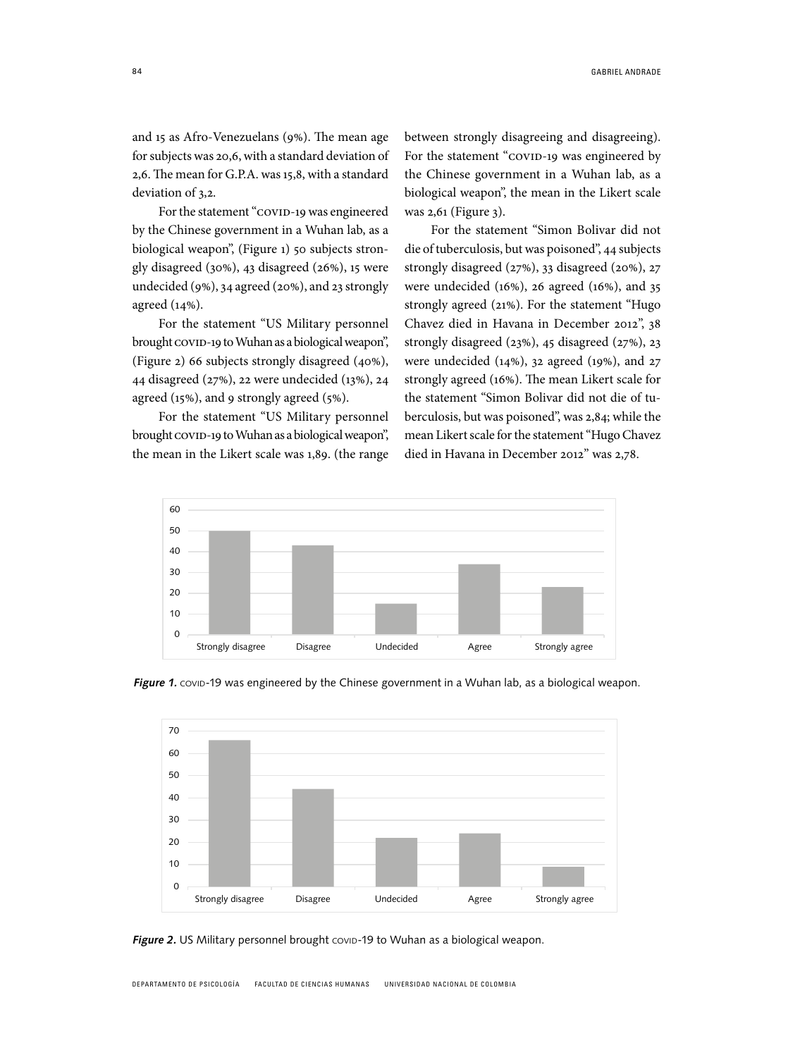and 15 as Afro-Venezuelans (9%). The mean age for subjects was 20,6, with a standard deviation of 2,6. The mean for G.P.A. was 15,8, with a standard deviation of 3,2.

For the statement "covid-19 was engineered by the Chinese government in a Wuhan lab, as a biological weapon", (Figure 1) 50 subjects strongly disagreed (30%), 43 disagreed (26%), 15 were undecided (9%), 34 agreed (20%), and 23 strongly agreed (14%).

For the statement "US Military personnel brought covin-19 to Wuhan as a biological weapon", (Figure 2) 66 subjects strongly disagreed (40%), 44 disagreed (27%), 22 were undecided (13%), 24 agreed (15%), and 9 strongly agreed (5%).

For the statement "US Military personnel brought covin-19 to Wuhan as a biological weapon", the mean in the Likert scale was 1,89. (the range between strongly disagreeing and disagreeing). For the statement "covid-19 was engineered by the Chinese government in a Wuhan lab, as a biological weapon", the mean in the Likert scale was 2,61 (Figure 3).

For the statement "Simon Bolivar did not die of tuberculosis, but was poisoned", 44 subjects strongly disagreed (27%), 33 disagreed (20%), 27 were undecided (16%), 26 agreed (16%), and 35 strongly agreed (21%). For the statement "Hugo Chavez died in Havana in December 2012", 38 strongly disagreed (23%), 45 disagreed (27%), 23 were undecided (14%), 32 agreed (19%), and 27 strongly agreed (16%). The mean Likert scale for the statement "Simon Bolivar did not die of tuberculosis, but was poisoned", was 2,84; while the mean Likert scale for the statement "Hugo Chavez died in Havana in December 2012" was 2,78.



Figure 1. COVID-19 was engineered by the Chinese government in a Wuhan lab, as a biological weapon.



Figure 2. US Military personnel brought covip-19 to Wuhan as a biological weapon.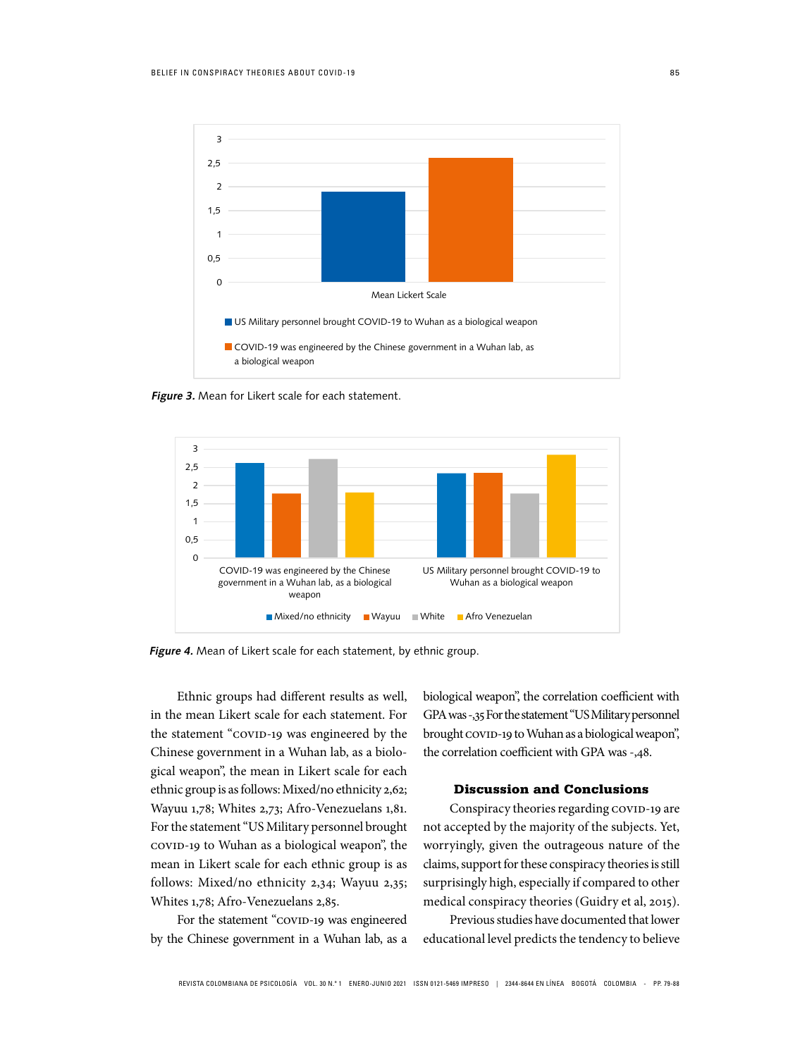

**Figure 3.** Mean for Likert scale for each statement.



**Figure 4.** Mean of Likert scale for each statement, by ethnic group.

Ethnic groups had different results as well, in the mean Likert scale for each statement. For the statement "COVID-19 was engineered by the Chinese government in a Wuhan lab, as a biological weapon", the mean in Likert scale for each ethnic group is as follows: Mixed/no ethnicity 2,62; Wayuu 1,78; Whites 2,73; Afro-Venezuelans 1,81. For the statement "US Military personnel brought covin-19 to Wuhan as a biological weapon", the mean in Likert scale for each ethnic group is as follows: Mixed/no ethnicity 2,34; Wayuu 2,35; Whites 1,78; Afro-Venezuelans 2,85.

For the statement "covid-19 was engineered by the Chinese government in a Wuhan lab, as a biological weapon", the correlation coefficient with GPA was -,35 For the statement "US Military personnel brought covin-19 to Wuhan as a biological weapon", the correlation coefficient with GPA was -,48.

## Discussion and Conclusions

Conspiracy theories regarding COVID-19 are not accepted by the majority of the subjects. Yet, worryingly, given the outrageous nature of the claims, support for these conspiracy theories is still surprisingly high, especially if compared to other medical conspiracy theories (Guidry et al, 2015).

Previous studies have documented that lower educational level predicts the tendency to believe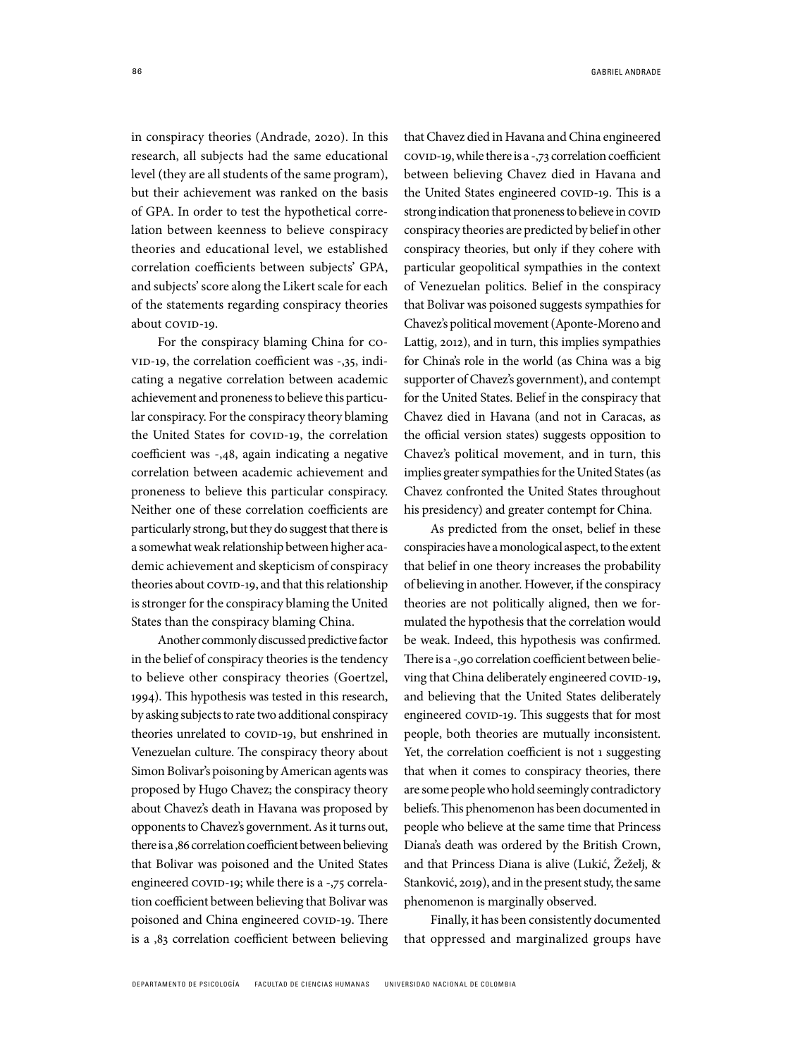in conspiracy theories (Andrade, 2020). In this research, all subjects had the same educational level (they are all students of the same program), but their achievement was ranked on the basis of GPA. In order to test the hypothetical correlation between keenness to believe conspiracy theories and educational level, we established correlation coefficients between subjects' GPA, and subjects' score along the Likert scale for each of the statements regarding conspiracy theories about COVID-19.

For the conspiracy blaming China for covID-19, the correlation coefficient was -,35, indicating a negative correlation between academic achievement and proneness to believe this particular conspiracy. For the conspiracy theory blaming the United States for COVID-19, the correlation coefficient was -,48, again indicating a negative correlation between academic achievement and proneness to believe this particular conspiracy. Neither one of these correlation coefficients are particularly strong, but they do suggest that there is a somewhat weak relationship between higher academic achievement and skepticism of conspiracy theories about COVID-19, and that this relationship is stronger for the conspiracy blaming the United States than the conspiracy blaming China.

Another commonly discussed predictive factor in the belief of conspiracy theories is the tendency to believe other conspiracy theories (Goertzel, 1994). This hypothesis was tested in this research, by asking subjects to rate two additional conspiracy theories unrelated to COVID-19, but enshrined in Venezuelan culture. The conspiracy theory about Simon Bolivar's poisoning by American agents was proposed by Hugo Chavez; the conspiracy theory about Chavez's death in Havana was proposed by opponents to Chavez's government. As it turns out, there is a ,86 correlation coefficient between believing that Bolivar was poisoned and the United States engineered covin-19; while there is a -,75 correlation coefficient between believing that Bolivar was poisoned and China engineered covin-19. There is a ,83 correlation coefficient between believing that Chavez died in Havana and China engineered covid-19, while there is a -,73 correlation coefficient between believing Chavez died in Havana and the United States engineered COVID-19. This is a strong indication that proneness to believe in COVID conspiracy theories are predicted by belief in other conspiracy theories, but only if they cohere with particular geopolitical sympathies in the context of Venezuelan politics. Belief in the conspiracy that Bolivar was poisoned suggests sympathies for Chavez's political movement (Aponte-Moreno and Lattig, 2012), and in turn, this implies sympathies for China's role in the world (as China was a big supporter of Chavez's government), and contempt for the United States. Belief in the conspiracy that Chavez died in Havana (and not in Caracas, as the official version states) suggests opposition to Chavez's political movement, and in turn, this implies greater sympathies for the United States (as Chavez confronted the United States throughout his presidency) and greater contempt for China.

As predicted from the onset, belief in these conspiracies have a monological aspect, to the extent that belief in one theory increases the probability of believing in another. However, if the conspiracy theories are not politically aligned, then we formulated the hypothesis that the correlation would be weak. Indeed, this hypothesis was confirmed. There is a -,90 correlation coefficient between believing that China deliberately engineered COVID-19, and believing that the United States deliberately engineered COVID-19. This suggests that for most people, both theories are mutually inconsistent. Yet, the correlation coefficient is not 1 suggesting that when it comes to conspiracy theories, there are some people who hold seemingly contradictory beliefs. This phenomenon has been documented in people who believe at the same time that Princess Diana's death was ordered by the British Crown, and that Princess Diana is alive (Lukić, Žeželj, & Stanković, 2019), and in the present study, the same phenomenon is marginally observed.

Finally, it has been consistently documented that oppressed and marginalized groups have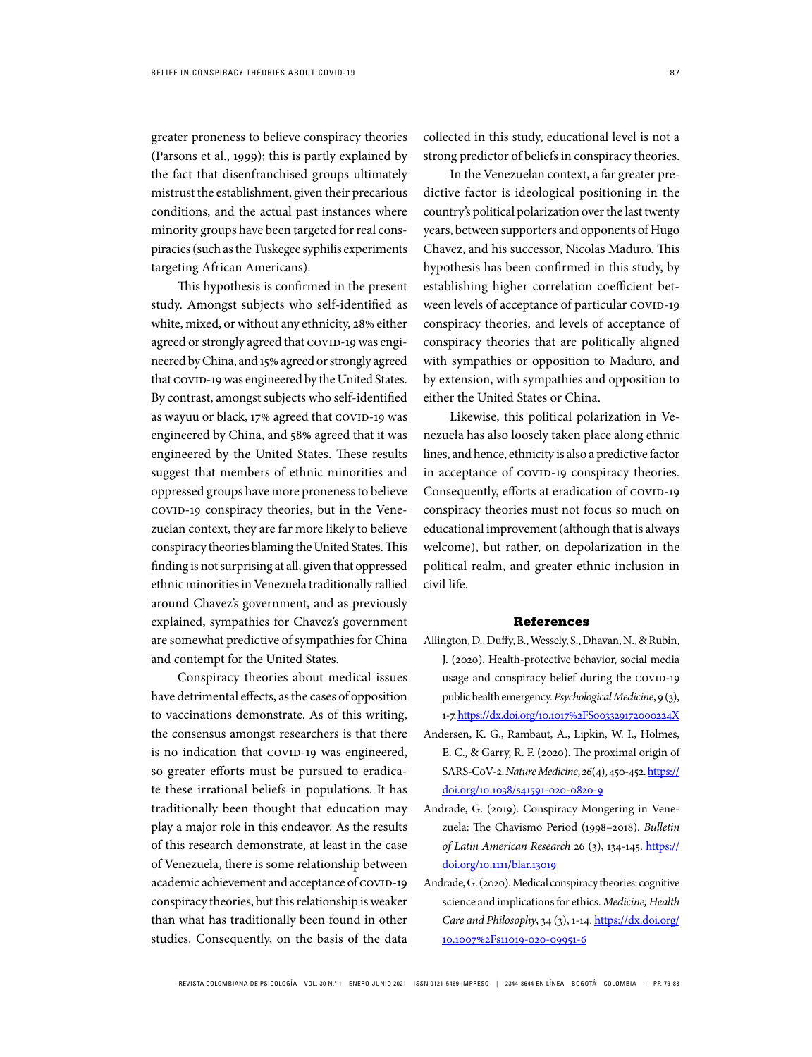greater proneness to believe conspiracy theories (Parsons et al., 1999); this is partly explained by the fact that disenfranchised groups ultimately mistrust the establishment, given their precarious conditions, and the actual past instances where minority groups have been targeted for real conspiracies (such as the Tuskegee syphilis experiments targeting African Americans).

This hypothesis is confirmed in the present study. Amongst subjects who self-identified as white, mixed, or without any ethnicity, 28% either agreed or strongly agreed that COVID-19 was engineered by China, and 15% agreed or strongly agreed that COVID-19 was engineered by the United States. By contrast, amongst subjects who self-identified as wayuu or black, 17% agreed that COVID-19 was engineered by China, and 58% agreed that it was engineered by the United States. These results suggest that members of ethnic minorities and oppressed groups have more proneness to believe covid-19 conspiracy theories, but in the Venezuelan context, they are far more likely to believe conspiracy theories blaming the United States. This finding is not surprising at all, given that oppressed ethnic minorities in Venezuela traditionally rallied around Chavez's government, and as previously explained, sympathies for Chavez's government are somewhat predictive of sympathies for China and contempt for the United States.

Conspiracy theories about medical issues have detrimental effects, as the cases of opposition to vaccinations demonstrate. As of this writing, the consensus amongst researchers is that there is no indication that COVID-19 was engineered, so greater efforts must be pursued to eradicate these irrational beliefs in populations. It has traditionally been thought that education may play a major role in this endeavor. As the results of this research demonstrate, at least in the case of Venezuela, there is some relationship between academic achievement and acceptance of COVID-19 conspiracy theories, but this relationship is weaker than what has traditionally been found in other studies. Consequently, on the basis of the data

collected in this study, educational level is not a strong predictor of beliefs in conspiracy theories.

In the Venezuelan context, a far greater predictive factor is ideological positioning in the country's political polarization over the last twenty years, between supporters and opponents of Hugo Chavez, and his successor, Nicolas Maduro. This hypothesis has been confirmed in this study, by establishing higher correlation coefficient between levels of acceptance of particular COVID-19 conspiracy theories, and levels of acceptance of conspiracy theories that are politically aligned with sympathies or opposition to Maduro, and by extension, with sympathies and opposition to either the United States or China.

Likewise, this political polarization in Venezuela has also loosely taken place along ethnic lines, and hence, ethnicity is also a predictive factor in acceptance of covid-19 conspiracy theories. Consequently, efforts at eradication of COVID-19 conspiracy theories must not focus so much on educational improvement (although that is always welcome), but rather, on depolarization in the political realm, and greater ethnic inclusion in civil life.

## References

- Allington, D., Duffy, B., Wessely, S., Dhavan, N., & Rubin, J. (2020). Health-protective behavior, social media usage and conspiracy belief during the COVID-19 public health emergency. Psychological Medicine, 9 (3), 1-7. https://dx.doi.org/10.1017%2FS003329172000224X
- Andersen, K. G., Rambaut, A., Lipkin, W. I., Holmes, E. C., & Garry, R. F. (2020). The proximal origin of SARS-CoV-2. Nature Medicine, 26(4), 450-452. https:// doi.org/10.1038/s41591-020-0820-9
- Andrade, G. (2019). Conspiracy Mongering in Venezuela: The Chavismo Period (1998–2018). Bulletin of Latin American Research 26 (3), 134-145. https:// doi.org/10.1111/blar.13019
- Andrade, G. (2020). Medical conspiracy theories: cognitive science and implications for ethics. Medicine, Health Care and Philosophy, 34 (3), 1-14. https://dx.doi.org/ 10.1007%2Fs11019-020-09951-6